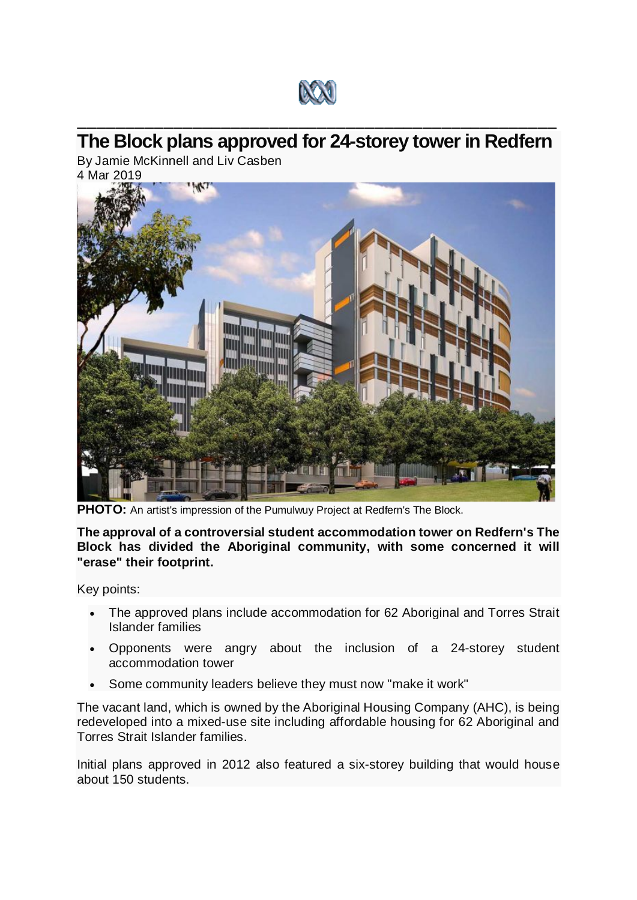

## \_\_\_\_\_\_\_\_\_\_\_\_\_\_\_\_\_\_\_\_\_\_\_\_\_\_\_\_\_\_\_\_\_\_\_\_\_\_\_\_\_\_\_\_\_\_\_\_\_\_ **The Block plans approved for 24-storey tower in Redfern**

By Jamie McKinnell and Liv Casben 4 Mar 2019



**PHOTO:** An artist's impression of the Pumulwuy Project at Redfern's The Block.

**The approval of a controversial student accommodation tower on Redfern's The Block has divided the Aboriginal community, with some concerned it will "erase" their footprint.**

Key points:

- The approved plans include accommodation for 62 Aboriginal and Torres Strait Islander families
- Opponents were angry about the inclusion of a 24-storey student accommodation tower
- Some community leaders believe they must now "make it work"

The vacant land, which is owned by the Aboriginal Housing Company (AHC), is being redeveloped into a mixed-use site including affordable housing for 62 Aboriginal and Torres Strait Islander families.

Initial plans approved in 2012 also featured a six-storey building that would house about 150 students.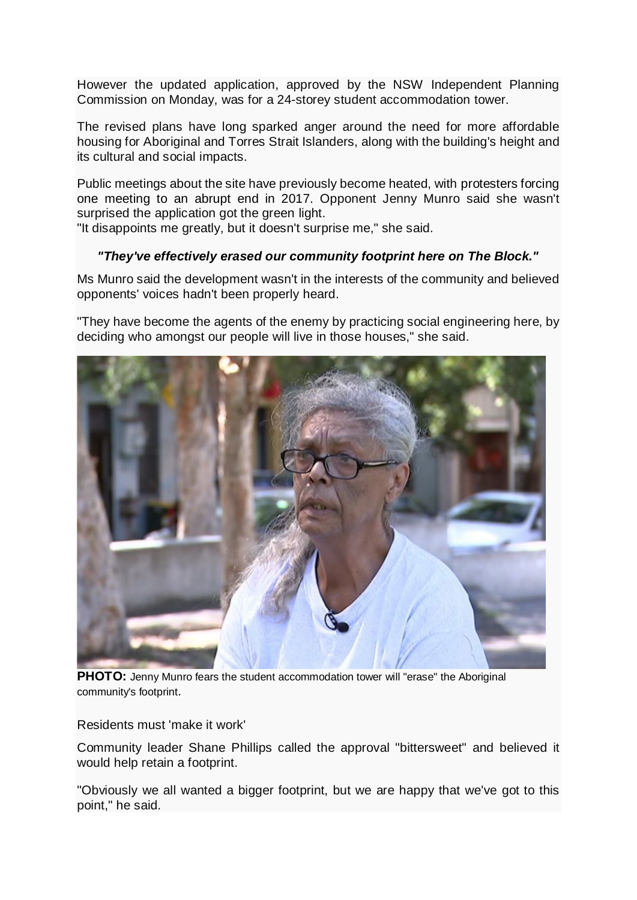However the updated application, approved by the NSW Independent Planning Commission on Monday, was for a 24-storey student accommodation tower.

The revised plans have long sparked anger around the need for more affordable housing for Aboriginal and Torres Strait Islanders, along with the building's height and its cultural and social impacts.

Public meetings about the site have previously become heated, with protesters forcing one meeting to an abrupt end in 2017. Opponent Jenny Munro said she wasn't surprised the application got the green light.

"It disappoints me greatly, but it doesn't surprise me," she said.

## *"They've effectively erased our community footprint here on The Block."*

Ms Munro said the development wasn't in the interests of the community and believed opponents' voices hadn't been properly heard.

"They have become the agents of the enemy by practicing social engineering here, by deciding who amongst our people will live in those houses," she said.



**PHOTO:** Jenny Munro fears the student accommodation tower will "erase" the Aboriginal community's footprint.

Residents must 'make it work'

Community leader Shane Phillips called the approval "bittersweet" and believed it would help retain a footprint.

"Obviously we all wanted a bigger footprint, but we are happy that we've got to this point," he said.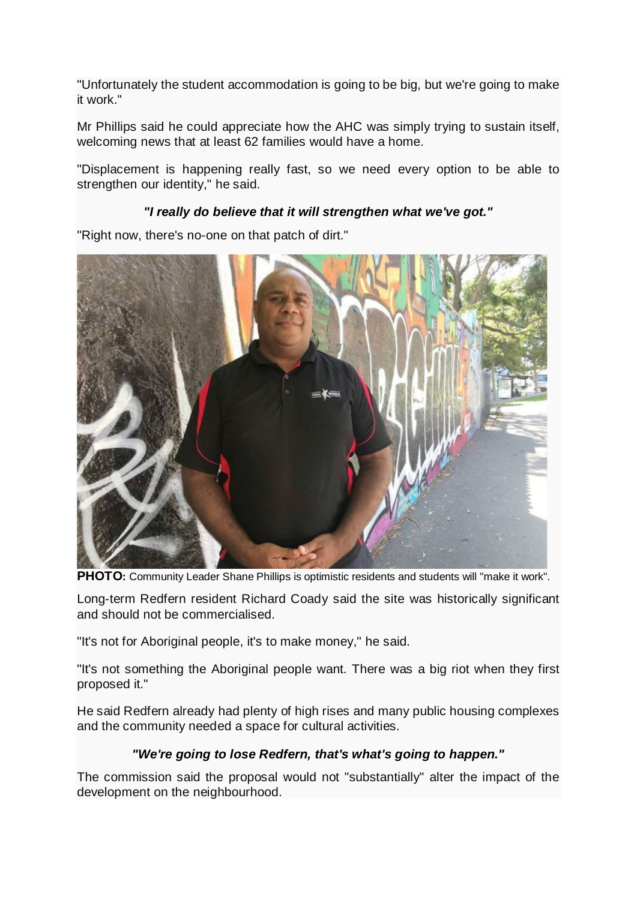"Unfortunately the student accommodation is going to be big, but we're going to make it work."

Mr Phillips said he could appreciate how the AHC was simply trying to sustain itself, welcoming news that at least 62 families would have a home.

"Displacement is happening really fast, so we need every option to be able to strengthen our identity," he said.

## *"I really do believe that it will strengthen what we've got."*

"Right now, there's no-one on that patch of dirt."



**PHOTO:** [Community Leader Shane Phillips is optimistic residents and students will "make it work".](https://www.abc.net.au/news/2019-03-04/shane-phillips-1/10868512)

Long-term Redfern resident Richard Coady said the site was historically significant and should not be commercialised.

"It's not for Aboriginal people, it's to make money," he said.

"It's not something the Aboriginal people want. There was a big riot when they first proposed it."

He said Redfern already had plenty of high rises and many public housing complexes and the community needed a space for cultural activities.

## *"We're going to lose Redfern, that's what's going to happen."*

The commission said the proposal would not "substantially" alter the impact of the development on the neighbourhood.